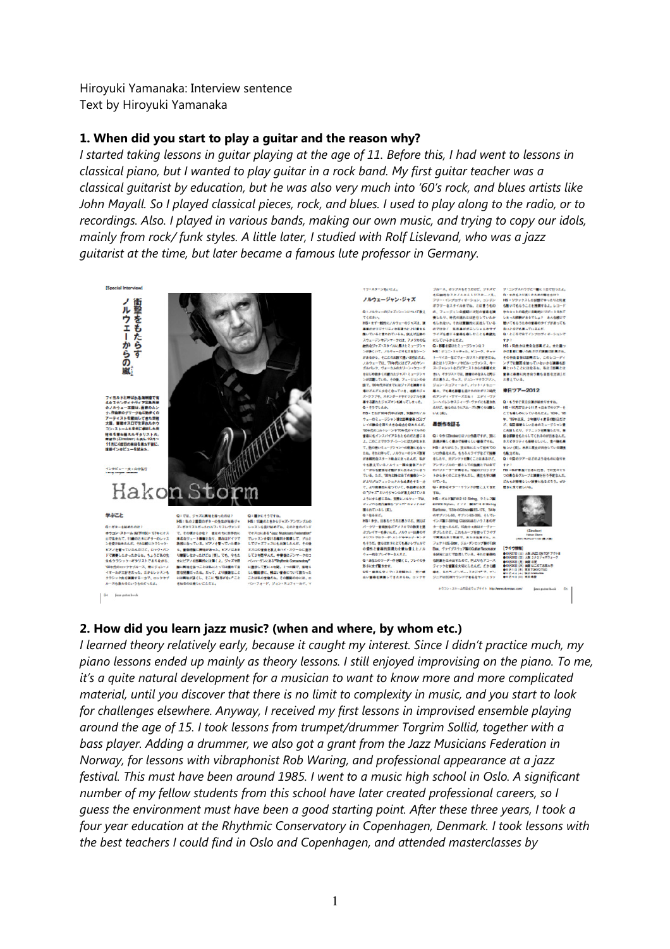Hiroyuki Yamanaka: Interview sentence Text by Hiroyuki Yamanaka

#### 1. When did you start to play a guitar and the reason why?

I started taking lessons in guitar playing at the age of 11. Before this, I had went to lessons in classical piano, but I wanted to play guitar in a rock band. My first guitar teacher was a classical guitarist by education, but he was also very much into '60's rock, and blues artists like John Mayall. So I played classical pieces, rock, and blues. I used to play along to the radio, or to recordings. Also. I played in various bands, making our own music, and trying to copy our idols, mainly from rock/ funk styles. A little later, I studied with Rolf Lislevand, who was a jazz guitarist at the time, but later became a famous lute professor in Germany.



 $\ddot{\mathbf{G}}\mathbf{4} = -\text{Jens golar keoek}$ 

量いていると言われているね。例えば最終の<br>スカーデンキデンマークには、アメリカの伝<br>結約をライズ・スタイルに満行さミュージシャン<br>シがあくいて、パカラェンりを入るということで、<br>ジネるから、そこの出資で食い場内には、<br>ガルドルク、ヴォーカルのカリーン・ヴローヴ<br>気がしや、ヴォーカルのカリーン・ヴローヴ<br>せばの動きくく優れたリウスキーカルのカリーン・ヴローヴ<br>まで、第9年のピスターイの後れたリフィージョンの身<br>またいしゃ、ヴィーカルのカリ ンが正確していた。60年、フュージンの中、ボルカラム・ウェス・ジョン・マウラブリン、、と考えている。<br>新で、Whenpite Could +ズを携有する ジョン・スコフィールド、パリト・メモニー<br>第12メルカラなど、サイトのサイトを使うサイトを使うサイトを使う使うサイトを使うサイトを使うサーブの12番が出来りますね。<br>ボージョンのサイヤキリジナルを演 のアンディ・サイーズだね(エディ・ヴァ<br>ス・クラブキ、スタンダードやサリジナルを演 の 」イで最合を制いまを含むさらなめた。<br>「最高を使いません」を使いていたので、最高作者を読る<br>「これはしかいサンサでは何かでんだの<br>「これはしかいサンサでは何かでんだの」を、「これはないけいの為ですが、実に、最高は難をもらもしていましょうか」ということでいうサンサンの場合にも、または、最適が難しくましたので、実に、最適が起こっている。<br>よこのことでクラブ・シーンに気力が出来れ、実面が難しくまかで確信しています。もの人がリティも確信<br>たた きあこもパンパッタれたものだと思いる。ない中村は2000年以び2010年です。第2、、最近線を化たしてくれた。<br>2、このことでラブチンテンジに対応される。実現はこのことはできていることです。このことでラブチンが出来る。<br>2、このことでラブチンテンパが発展している。特に当ります。<br>2、ただ、それはサイ、ノグチューのリャス演者、ソの商品もよく、もちもスプイサビアの、特にいて同じのリアーはのといふ意味。<br>2、作品をいいしまいまで、アプリング

ぶアレイヤー6か以及ノメカター1時の中、ダブルのビデュに戻している。プチガマクイワークのストでは、中国のエンジンのデューターのデューターのデューターのデューターのデューターのデューターのデューターのデューターのデューターのデューターのデューターのデューターの開発にまた、このデューターの開発を主張している。<br>※ その他に世帯的英雄力を使わなえたノル Bax、ヴァイブスウェアMicOdale Readers Party<br>※ 中国会社アレイヤ

イク・スターンもいたよ。<br>
- ジャンスターンもいたよう、 ブルース、ボップスもそうだけど、ジャズで ク・コングスハウグと一部に1日で行ったよ<br>
- ジャンキン・ジャブ - もの触れをスタイルのミトリスターン系、 Q:ま作をスリ選しだされの開き方は?<br>
Q1ノルクォーのジャズ・シーンについて数人 - ボップコンを連盟には別の事を受け、 PM リフックスした結果できるようと同様ですよ。<br>
- インスターのジャズ・シーンについて数人 -



**【ライヴ情報】**<br>●10月27日(土)大型3<br>●10月27日(川)画蔵3<br>●10月20日(大)画蔵3<br>●11月3日(1)演家事<br>●11月3日(1)演家事<br>●11月3日(1)演家事 a<br>Eetskip

#### 2. How did you learn jazz music? (when and where, by whom etc.)

I learned theory relatively early, because it caught my interest. Since I didn't practice much, my piano lessons ended up mainly as theory lessons. I still enjoyed improvising on the piano. To me, it's a quite natural development for a musician to want to know more and more complicated material, until you discover that there is no limit to complexity in music, and you start to look for challenges elsewhere. Anyway, I received my first lessons in improvised ensemble playing around the age of 15. I took lessons from trumpet/drummer Torgrim Sollid, together with a bass player. Adding a drummer, we also got a grant from the Jazz Musicians Federation in Norway, for lessons with vibraphonist Rob Waring, and professional appearance at a jazz festival. This must have been around 1985. I went to a music high school in Oslo. A significant number of my fellow students from this school have later created professional careers, so I guess the environment must have been a good starting point. After these three years, I took a four year education at the Rhythmic Conservatory in Copenhagen, Denmark. I took lessons with the best teachers I could find in Oslo and Copenhagen, and attended masterclasses by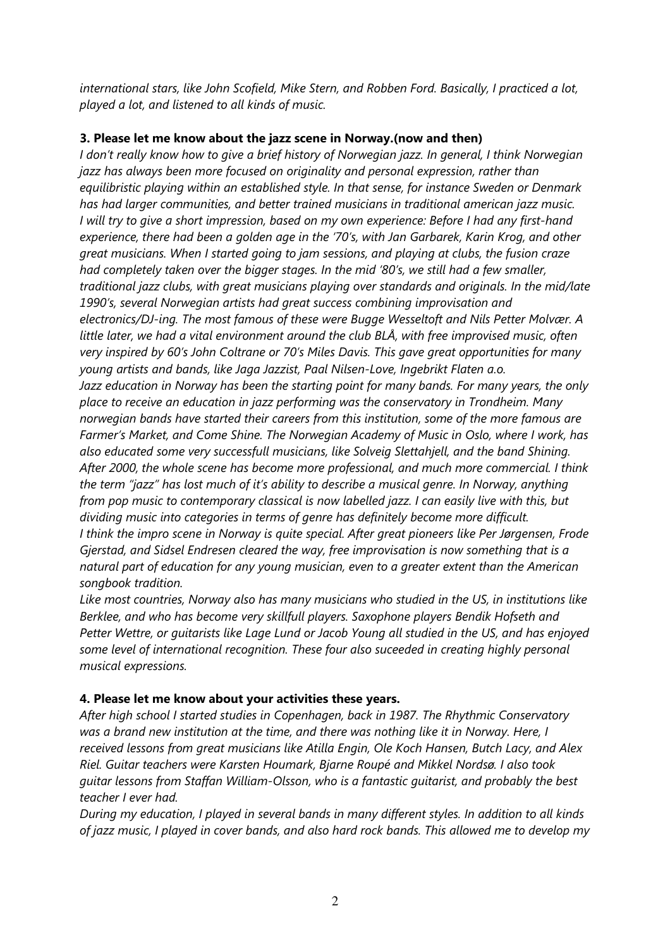international stars, like John Scofield, Mike Stern, and Robben Ford. Basically, I practiced a lot, played a lot, and listened to all kinds of music.

## 3. Please let me know about the jazz scene in Norway.(now and then)

I don't really know how to give a brief history of Norwegian jazz. In general, I think Norwegian jazz has always been more focused on originality and personal expression, rather than equilibristic playing within an established style. In that sense, for instance Sweden or Denmark has had larger communities, and better trained musicians in traditional american jazz music. I will try to give a short impression, based on my own experience: Before I had any first-hand experience, there had been a golden age in the '70's, with Jan Garbarek, Karin Krog, and other great musicians. When I started going to jam sessions, and playing at clubs, the fusion craze had completely taken over the bigger stages. In the mid '80's, we still had a few smaller, traditional jazz clubs, with great musicians playing over standards and originals. In the mid/late 1990's, several Norwegian artists had great success combining improvisation and electronics/DJ-ing. The most famous of these were Bugge Wesseltoft and Nils Petter Molvær. A little later, we had a vital environment around the club BLÅ, with free improvised music, often very inspired by 60's John Coltrane or 70's Miles Davis. This gave great opportunities for many young artists and bands, like Jaga Jazzist, Paal Nilsen-Love, Ingebrikt Flaten a.o. Jazz education in Norway has been the starting point for many bands. For many years, the only place to receive an education in jazz performing was the conservatory in Trondheim. Many norwegian bands have started their careers from this institution, some of the more famous are Farmer's Market, and Come Shine. The Norwegian Academy of Music in Oslo, where I work, has also educated some very successfull musicians, like Solveig Slettahjell, and the band Shining. After 2000, the whole scene has become more professional, and much more commercial. I think the term "jazz" has lost much of it's ability to describe a musical genre. In Norway, anything from pop music to contemporary classical is now labelled jazz. I can easily live with this, but dividing music into categories in terms of genre has definitely become more difficult. I think the impro scene in Norway is quite special. After great pioneers like Per Jørgensen, Frode Gjerstad, and Sidsel Endresen cleared the way, free improvisation is now something that is a natural part of education for any young musician, even to a greater extent than the American songbook tradition.

Like most countries, Norway also has many musicians who studied in the US, in institutions like Berklee, and who has become very skillfull players. Saxophone players Bendik Hofseth and Petter Wettre, or guitarists like Lage Lund or Jacob Young all studied in the US, and has enjoyed some level of international recognition. These four also suceeded in creating highly personal musical expressions.

## 4. Please let me know about your activities these years.

After high school I started studies in Copenhagen, back in 1987. The Rhythmic Conservatory was a brand new institution at the time, and there was nothing like it in Norway. Here, I received lessons from great musicians like Atilla Engin, Ole Koch Hansen, Butch Lacy, and Alex Riel. Guitar teachers were Karsten Houmark, Bjarne Roupé and Mikkel Nordsø. I also took guitar lessons from Staffan William-Olsson, who is a fantastic guitarist, and probably the best teacher I ever had.

During my education, I played in several bands in many different styles. In addition to all kinds of jazz music, I played in cover bands, and also hard rock bands. This allowed me to develop my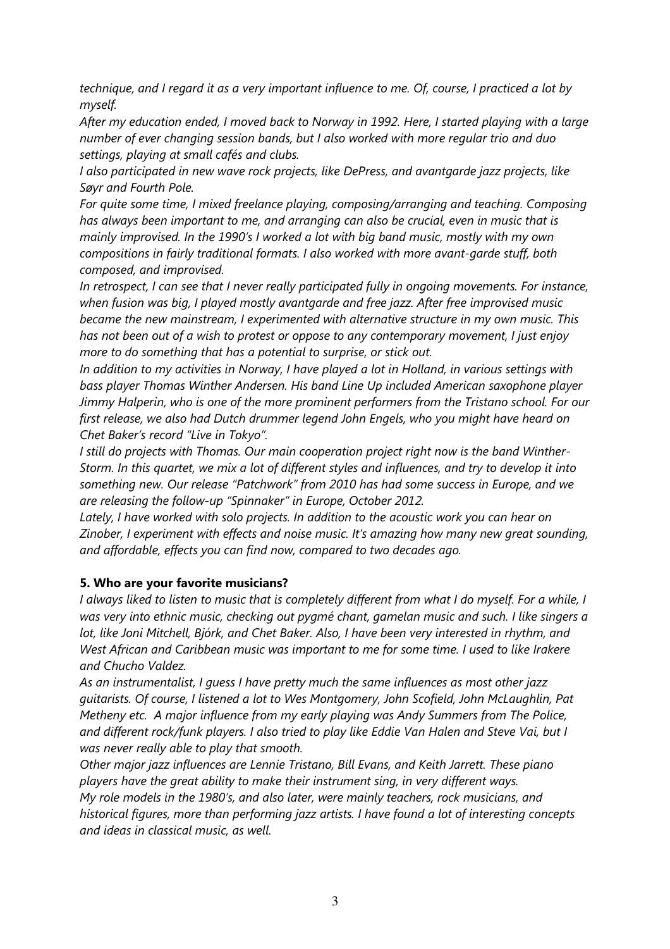technique, and I regard it as a very important influence to me. Of, course, I practiced a lot by myself.

After my education ended, I moved back to Norway in 1992. Here, I started playing with a large number of ever changing session bands, but I also worked with more regular trio and duo settings, playing at small cafés and clubs.

I also participated in new wave rock projects, like DePress, and avantgarde jazz projects, like Søyr and Fourth Pole.

For quite some time, I mixed freelance playing, composing/arranging and teaching. Composing has always been important to me, and arranging can also be crucial, even in music that is mainly improvised. In the 1990's I worked a lot with big band music, mostly with my own compositions in fairly traditional formats. I also worked with more avant-garde stuff, both composed, and improvised.

In retrospect, I can see that I never really participated fully in ongoing movements. For instance, when fusion was big, I played mostly avantgarde and free jazz. After free improvised music became the new mainstream, I experimented with alternative structure in my own music. This has not been out of a wish to protest or oppose to any contemporary movement, I just enjoy more to do something that has a potential to surprise, or stick out.

In addition to my activities in Norway, I have played a lot in Holland, in various settings with bass player Thomas Winther Andersen. His band Line Up included American saxophone player Jimmy Halperin, who is one of the more prominent performers from the Tristano school. For our first release, we also had Dutch drummer legend John Engels, who you might have heard on Chet Baker's record "Live in Tokyo".

I still do projects with Thomas. Our main cooperation project right now is the band Winther-Storm. In this quartet, we mix a lot of different styles and influences, and try to develop it into something new. Our release "Patchwork" from 2010 has had some success in Europe, and we are releasing the follow-up "Spinnaker" in Europe, October 2012.

Lately, I have worked with solo projects. In addition to the acoustic work you can hear on Zinober, I experiment with effects and noise music. It's amazing how many new great sounding, and affordable, effects you can find now, compared to two decades ago.

### 5. Who are your favorite musicians?

I always liked to listen to music that is completely different from what I do myself. For a while, I was very into ethnic music, checking out pygmé chant, gamelan music and such. I like singers a lot, like Joni Mitchell, Bjórk, and Chet Baker. Also, I have been very interested in rhythm, and West African and Caribbean music was important to me for some time. I used to like Irakere and Chucho Valdez.

As an instrumentalist, I guess I have pretty much the same influences as most other jazz guitarists. Of course, I listened a lot to Wes Montgomery, John Scofield, John McLaughlin, Pat Metheny etc. A major influence from my early playing was Andy Summers from The Police, and different rock/funk players. I also tried to play like Eddie Van Halen and Steve Vai, but I was never really able to play that smooth.

Other major jazz influences are Lennie Tristano, Bill Evans, and Keith Jarrett. These piano players have the great ability to make their instrument sing, in very different ways. My role models in the 1980's, and also later, were mainly teachers, rock musicians, and historical figures, more than performing jazz artists. I have found a lot of interesting concepts and ideas in classical music, as well.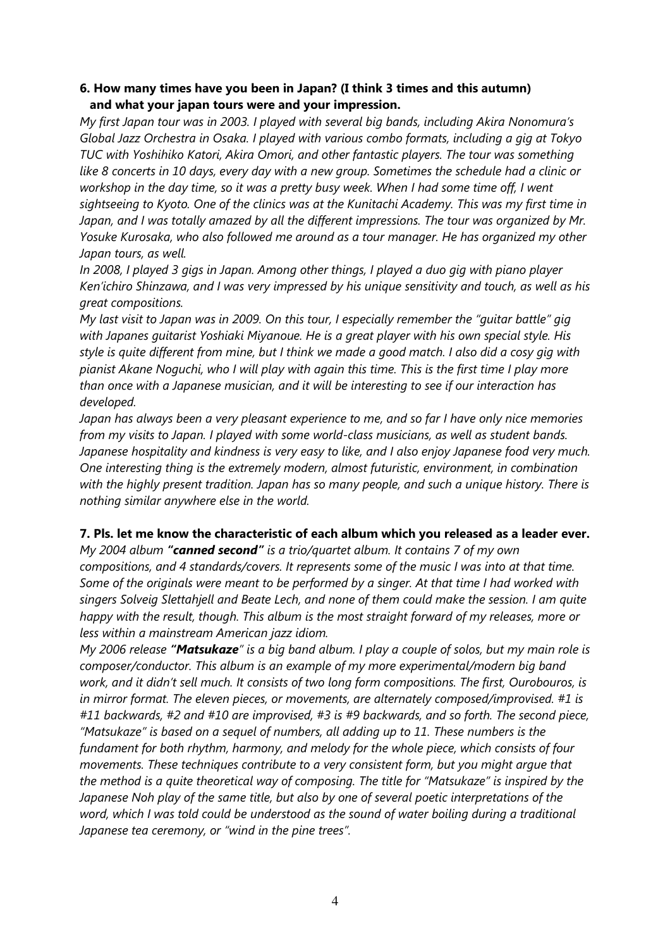#### 6. How many times have you been in Japan? (I think 3 times and this autumn) and what your japan tours were and your impression.

My first Japan tour was in 2003. I played with several big bands, including Akira Nonomura's Global Jazz Orchestra in Osaka. I played with various combo formats, including a gig at Tokyo TUC with Yoshihiko Katori, Akira Omori, and other fantastic players. The tour was something like 8 concerts in 10 days, every day with a new group. Sometimes the schedule had a clinic or workshop in the day time, so it was a pretty busy week. When I had some time off, I went sightseeing to Kyoto. One of the clinics was at the Kunitachi Academy. This was my first time in Japan, and I was totally amazed by all the different impressions. The tour was organized by Mr. Yosuke Kurosaka, who also followed me around as a tour manager. He has organized my other Japan tours, as well.

In 2008, I played 3 gigs in Japan. Among other things, I played a duo gig with piano player Ken'ichiro Shinzawa, and I was very impressed by his unique sensitivity and touch, as well as his great compositions.

My last visit to Japan was in 2009. On this tour, I especially remember the "guitar battle" gig with Japanes guitarist Yoshiaki Miyanoue. He is a great player with his own special style. His style is quite different from mine, but I think we made a good match. I also did a cosy gig with pianist Akane Noguchi, who I will play with again this time. This is the first time I play more than once with a Japanese musician, and it will be interesting to see if our interaction has developed.

Japan has always been a very pleasant experience to me, and so far I have only nice memories from my visits to Japan. I played with some world-class musicians, as well as student bands. Japanese hospitality and kindness is very easy to like, and I also enjoy Japanese food very much. One interesting thing is the extremely modern, almost futuristic, environment, in combination with the highly present tradition. Japan has so many people, and such a unique history. There is nothing similar anywhere else in the world.

### 7. Pls. let me know the characteristic of each album which you released as a leader ever.

My 2004 album "canned second" is a trio/quartet album. It contains 7 of my own compositions, and 4 standards/covers. It represents some of the music I was into at that time. Some of the originals were meant to be performed by a singer. At that time I had worked with singers Solveig Slettahjell and Beate Lech, and none of them could make the session. I am quite happy with the result, though. This album is the most straight forward of my releases, more or less within a mainstream American jazz idiom.

My 2006 release "Matsukaze" is a big band album. I play a couple of solos, but my main role is composer/conductor. This album is an example of my more experimental/modern big band work, and it didn't sell much. It consists of two long form compositions. The first, Ourobouros, is in mirror format. The eleven pieces, or movements, are alternately composed/improvised. #1 is #11 backwards, #2 and #10 are improvised, #3 is #9 backwards, and so forth. The second piece, "Matsukaze" is based on a sequel of numbers, all adding up to 11. These numbers is the fundament for both rhythm, harmony, and melody for the whole piece, which consists of four movements. These techniques contribute to a very consistent form, but you might argue that the method is a quite theoretical way of composing. The title for "Matsukaze" is inspired by the Japanese Noh play of the same title, but also by one of several poetic interpretations of the word, which I was told could be understood as the sound of water boiling during a traditional Japanese tea ceremony, or "wind in the pine trees".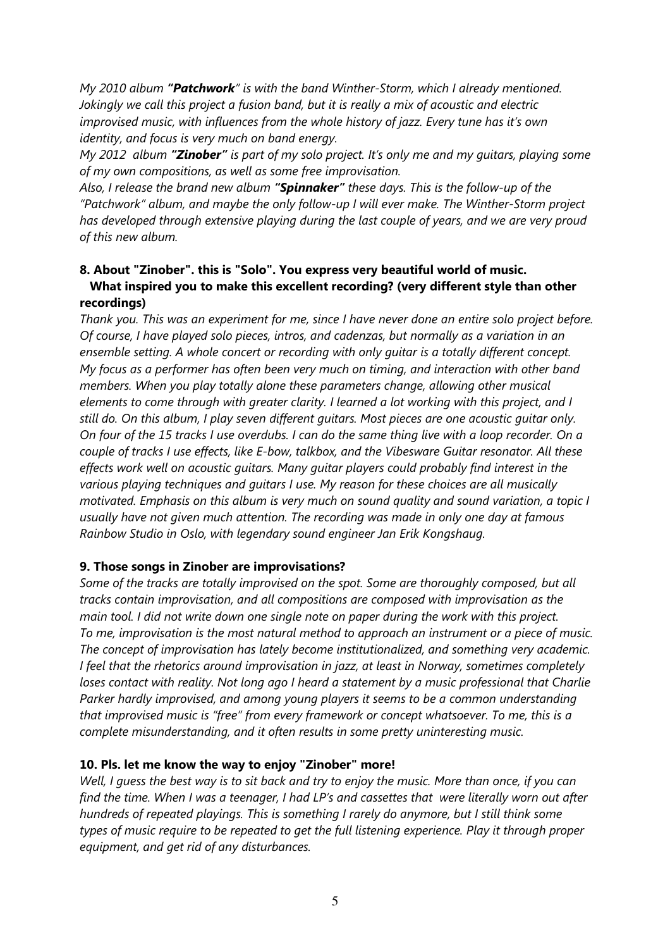My 2010 album "Patchwork" is with the band Winther-Storm, which I already mentioned. Jokingly we call this project a fusion band, but it is really a mix of acoustic and electric improvised music, with influences from the whole history of jazz. Every tune has it's own identity, and focus is very much on band energy.

My 2012 album "**Zinober**" is part of my solo project. It's only me and my quitars, playing some of my own compositions, as well as some free improvisation.

Also, I release the brand new album "Spinnaker" these days. This is the follow-up of the "Patchwork" album, and maybe the only follow-up I will ever make. The Winther-Storm project has developed through extensive playing during the last couple of years, and we are very proud of this new album.

## 8. About "Zinober". this is "Solo". You express very beautiful world of music. What inspired you to make this excellent recording? (very different style than other recordings)

Thank you. This was an experiment for me, since I have never done an entire solo project before. Of course, I have played solo pieces, intros, and cadenzas, but normally as a variation in an ensemble setting. A whole concert or recording with only guitar is a totally different concept. My focus as a performer has often been very much on timing, and interaction with other band members. When you play totally alone these parameters change, allowing other musical elements to come through with greater clarity. I learned a lot working with this project, and I still do. On this album, I play seven different guitars. Most pieces are one acoustic guitar only. On four of the 15 tracks I use overdubs. I can do the same thing live with a loop recorder. On a couple of tracks I use effects, like E-bow, talkbox, and the Vibesware Guitar resonator. All these effects work well on acoustic guitars. Many guitar players could probably find interest in the various playing techniques and guitars I use. My reason for these choices are all musically motivated. Emphasis on this album is very much on sound quality and sound variation, a topic I usually have not given much attention. The recording was made in only one day at famous Rainbow Studio in Oslo, with legendary sound engineer Jan Erik Kongshaug.

### 9. Those songs in Zinober are improvisations?

Some of the tracks are totally improvised on the spot. Some are thoroughly composed, but all tracks contain improvisation, and all compositions are composed with improvisation as the main tool. I did not write down one single note on paper during the work with this project. To me, improvisation is the most natural method to approach an instrument or a piece of music. The concept of improvisation has lately become institutionalized, and something very academic. I feel that the rhetorics around improvisation in jazz, at least in Norway, sometimes completely loses contact with reality. Not long ago I heard a statement by a music professional that Charlie Parker hardly improvised, and among young players it seems to be a common understanding that improvised music is "free" from every framework or concept whatsoever. To me, this is a complete misunderstanding, and it often results in some pretty uninteresting music.

### 10. Pls. let me know the way to enjoy "Zinober" more!

Well, I guess the best way is to sit back and try to enjoy the music. More than once, if you can find the time. When I was a teenager, I had LP's and cassettes that were literally worn out after hundreds of repeated playings. This is something I rarely do anymore, but I still think some types of music require to be repeated to get the full listening experience. Play it through proper equipment, and get rid of any disturbances.